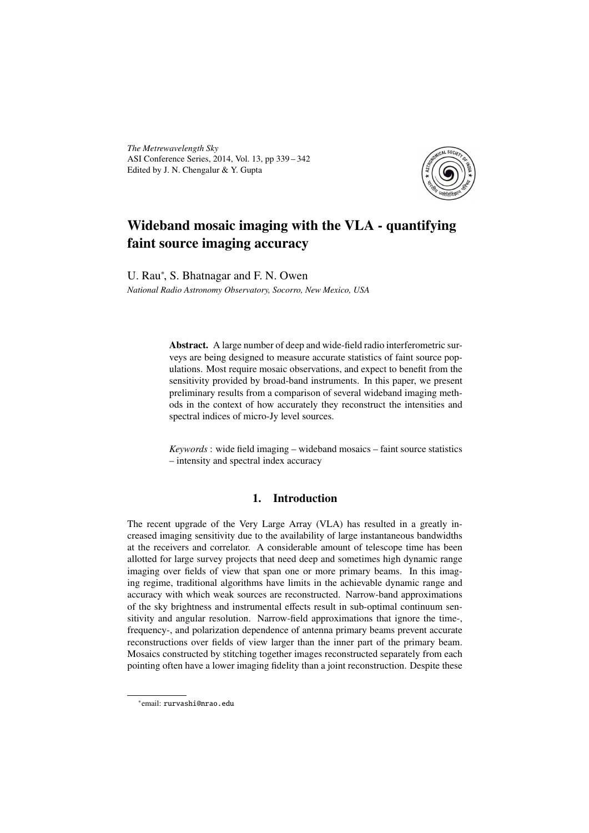*The Metrewavelength Sky* ASI Conference Series, 2014, Vol. 13, pp 339 – 342 Edited by J. N. Chengalur & Y. Gupta



# Wideband mosaic imaging with the VLA - quantifying faint source imaging accuracy

U. Rau<sup>\*</sup>, S. Bhatnagar and F. N. Owen

*National Radio Astronomy Observatory, Socorro, New Mexico, USA*

Abstract. A large number of deep and wide-field radio interferometric surveys are being designed to measure accurate statistics of faint source populations. Most require mosaic observations, and expect to benefit from the sensitivity provided by broad-band instruments. In this paper, we present preliminary results from a comparison of several wideband imaging methods in the context of how accurately they reconstruct the intensities and spectral indices of micro-Jy level sources.

*Keywords* : wide field imaging – wideband mosaics – faint source statistics – intensity and spectral index accuracy

## 1. Introduction

The recent upgrade of the Very Large Array (VLA) has resulted in a greatly increased imaging sensitivity due to the availability of large instantaneous bandwidths at the receivers and correlator. A considerable amount of telescope time has been allotted for large survey projects that need deep and sometimes high dynamic range imaging over fields of view that span one or more primary beams. In this imaging regime, traditional algorithms have limits in the achievable dynamic range and accuracy with which weak sources are reconstructed. Narrow-band approximations of the sky brightness and instrumental effects result in sub-optimal continuum sensitivity and angular resolution. Narrow-field approximations that ignore the time-, frequency-, and polarization dependence of antenna primary beams prevent accurate reconstructions over fields of view larger than the inner part of the primary beam. Mosaics constructed by stitching together images reconstructed separately from each pointing often have a lower imaging fidelity than a joint reconstruction. Despite these

<sup>∗</sup> email: rurvashi@nrao.edu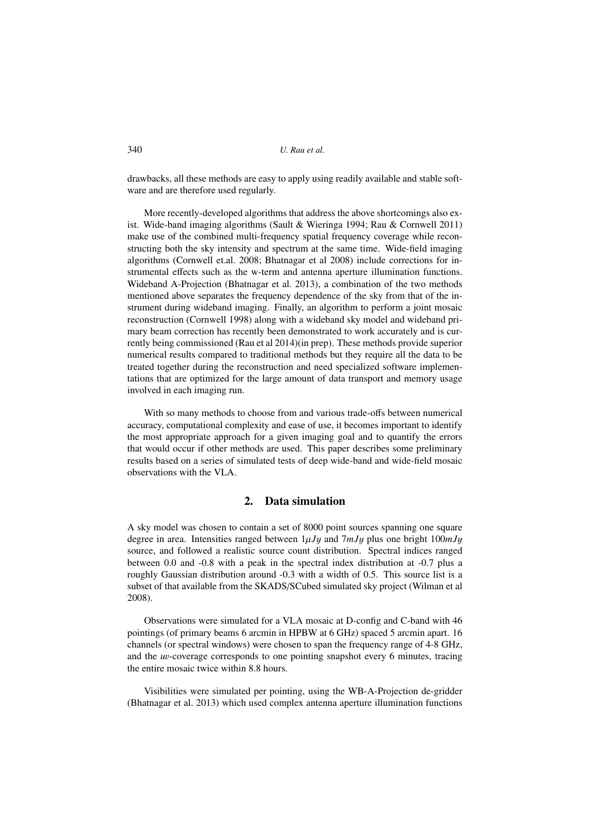drawbacks, all these methods are easy to apply using readily available and stable software and are therefore used regularly.

More recently-developed algorithms that address the above shortcomings also exist. Wide-band imaging algorithms (Sault & Wieringa 1994; Rau & Cornwell 2011) make use of the combined multi-frequency spatial frequency coverage while reconstructing both the sky intensity and spectrum at the same time. Wide-field imaging algorithms (Cornwell et.al. 2008; Bhatnagar et al 2008) include corrections for instrumental effects such as the w-term and antenna aperture illumination functions. Wideband A-Projection (Bhatnagar et al. 2013), a combination of the two methods mentioned above separates the frequency dependence of the sky from that of the instrument during wideband imaging. Finally, an algorithm to perform a joint mosaic reconstruction (Cornwell 1998) along with a wideband sky model and wideband primary beam correction has recently been demonstrated to work accurately and is currently being commissioned (Rau et al 2014)(in prep). These methods provide superior numerical results compared to traditional methods but they require all the data to be treated together during the reconstruction and need specialized software implementations that are optimized for the large amount of data transport and memory usage involved in each imaging run.

With so many methods to choose from and various trade-offs between numerical accuracy, computational complexity and ease of use, it becomes important to identify the most appropriate approach for a given imaging goal and to quantify the errors that would occur if other methods are used. This paper describes some preliminary results based on a series of simulated tests of deep wide-band and wide-field mosaic observations with the VLA.

### 2. Data simulation

A sky model was chosen to contain a set of 8000 point sources spanning one square degree in area. Intensities ranged between 1µ*J*y and 7*mJ*y plus one bright 100*mJ*y source, and followed a realistic source count distribution. Spectral indices ranged between 0.0 and -0.8 with a peak in the spectral index distribution at -0.7 plus a roughly Gaussian distribution around -0.3 with a width of 0.5. This source list is a subset of that available from the SKADS/SCubed simulated sky project (Wilman et al 2008).

Observations were simulated for a VLA mosaic at D-config and C-band with 46 pointings (of primary beams 6 arcmin in HPBW at 6 GHz) spaced 5 arcmin apart. 16 channels (or spectral windows) were chosen to span the frequency range of 4-8 GHz, and the *<sup>u</sup>*v-coverage corresponds to one pointing snapshot every 6 minutes, tracing the entire mosaic twice within 8.8 hours.

Visibilities were simulated per pointing, using the WB-A-Projection de-gridder (Bhatnagar et al. 2013) which used complex antenna aperture illumination functions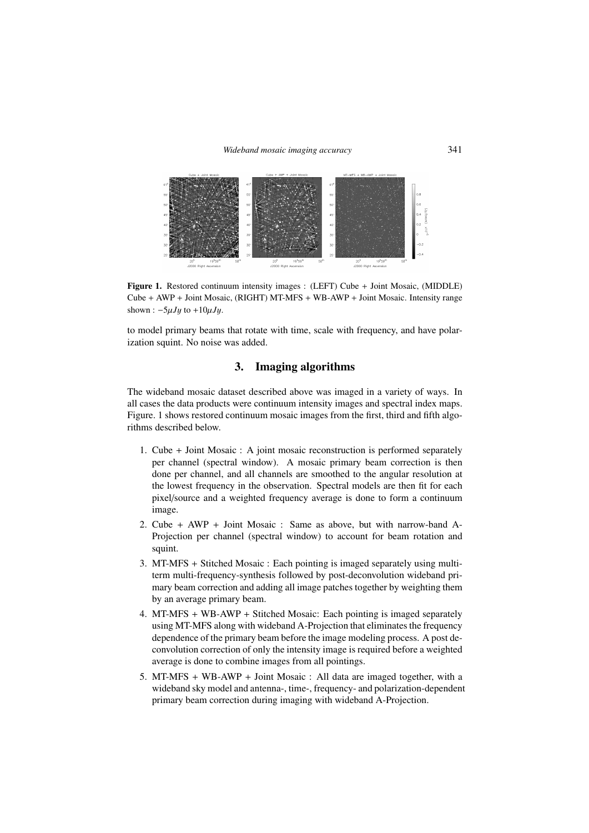#### *Wideband mosaic imaging accuracy* 341



Figure 1. Restored continuum intensity images : (LEFT) Cube + Joint Mosaic, (MIDDLE) Cube + AWP + Joint Mosaic, (RIGHT) MT-MFS + WB-AWP + Joint Mosaic. Intensity range shown : <sup>−</sup>5µ*J*y to <sup>+</sup>10µ*J*y.

to model primary beams that rotate with time, scale with frequency, and have polarization squint. No noise was added.

# 3. Imaging algorithms

The wideband mosaic dataset described above was imaged in a variety of ways. In all cases the data products were continuum intensity images and spectral index maps. Figure. 1 shows restored continuum mosaic images from the first, third and fifth algorithms described below.

- 1. Cube + Joint Mosaic : A joint mosaic reconstruction is performed separately per channel (spectral window). A mosaic primary beam correction is then done per channel, and all channels are smoothed to the angular resolution at the lowest frequency in the observation. Spectral models are then fit for each pixel/source and a weighted frequency average is done to form a continuum image.
- 2. Cube + AWP + Joint Mosaic : Same as above, but with narrow-band A-Projection per channel (spectral window) to account for beam rotation and squint.
- 3. MT-MFS + Stitched Mosaic : Each pointing is imaged separately using multiterm multi-frequency-synthesis followed by post-deconvolution wideband primary beam correction and adding all image patches together by weighting them by an average primary beam.
- 4. MT-MFS + WB-AWP + Stitched Mosaic: Each pointing is imaged separately using MT-MFS along with wideband A-Projection that eliminates the frequency dependence of the primary beam before the image modeling process. A post deconvolution correction of only the intensity image is required before a weighted average is done to combine images from all pointings.
- 5. MT-MFS + WB-AWP + Joint Mosaic : All data are imaged together, with a wideband sky model and antenna-, time-, frequency- and polarization-dependent primary beam correction during imaging with wideband A-Projection.